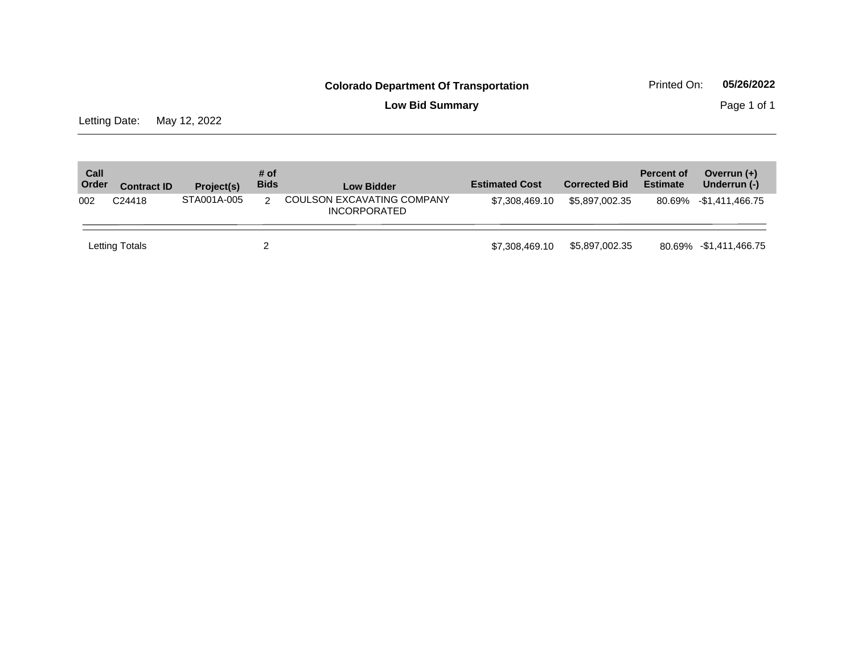**Low Bid Summary Page 1 of 1** 

Letting Date: May 12, 2022

| Call<br>Order | <b>Contract ID</b> | Project(s)  | # of<br><b>Bids</b> | <b>Low Bidder</b>                                 | <b>Estimated Cost</b> | <b>Corrected Bid</b> | <b>Percent of</b><br><b>Estimate</b> | Overrun $(+)$<br>Underrun (-) |
|---------------|--------------------|-------------|---------------------|---------------------------------------------------|-----------------------|----------------------|--------------------------------------|-------------------------------|
| 002           | C <sub>24418</sub> | STA001A-005 | 2                   | COULSON EXCAVATING COMPANY<br><b>INCORPORATED</b> | \$7.308.469.10        | \$5.897.002.35       |                                      | 80.69% -\$1,411,466.75        |
|               | Letting Totals     |             |                     |                                                   | \$7.308.469.10        | \$5,897,002.35       |                                      | 80.69% -\$1,411,466.75        |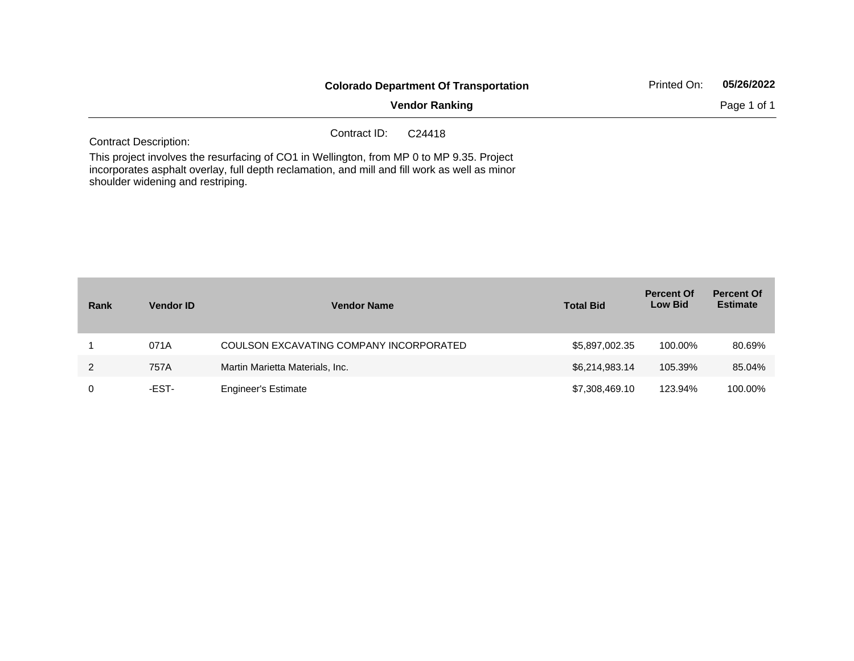|                                                                                                                                                                                                              |              | <b>Colorado Department Of Transportation</b> | Printed On: | 05/26/2022  |
|--------------------------------------------------------------------------------------------------------------------------------------------------------------------------------------------------------------|--------------|----------------------------------------------|-------------|-------------|
|                                                                                                                                                                                                              |              | <b>Vendor Ranking</b>                        |             | Page 1 of 1 |
| <b>Contract Description:</b>                                                                                                                                                                                 | Contract ID: | C <sub>24418</sub>                           |             |             |
| This project involves the resurfacing of CO1 in Wellington, from MP 0 to MP 9.35. Project<br>the component of the Holmest of Holmest and the contract of the MI of the MI of the Contract of the Contract of |              |                                              |             |             |

incorporates asphalt overlay, full depth reclamation, and mill and fill work as well as minor shoulder widening and restriping.

| Rank | <b>Vendor ID</b> | <b>Vendor Name</b>                      | <b>Total Bid</b> | <b>Percent Of</b><br><b>Low Bid</b> | <b>Percent Of</b><br><b>Estimate</b> |
|------|------------------|-----------------------------------------|------------------|-------------------------------------|--------------------------------------|
|      | 071A             | COULSON EXCAVATING COMPANY INCORPORATED | \$5,897,002.35   | 100.00%                             | 80.69%                               |
| 2    | 757A             | Martin Marietta Materials, Inc.         | \$6,214,983.14   | 105.39%                             | 85.04%                               |
|      | -EST-            | <b>Engineer's Estimate</b>              | \$7,308,469.10   | 123.94%                             | 100.00%                              |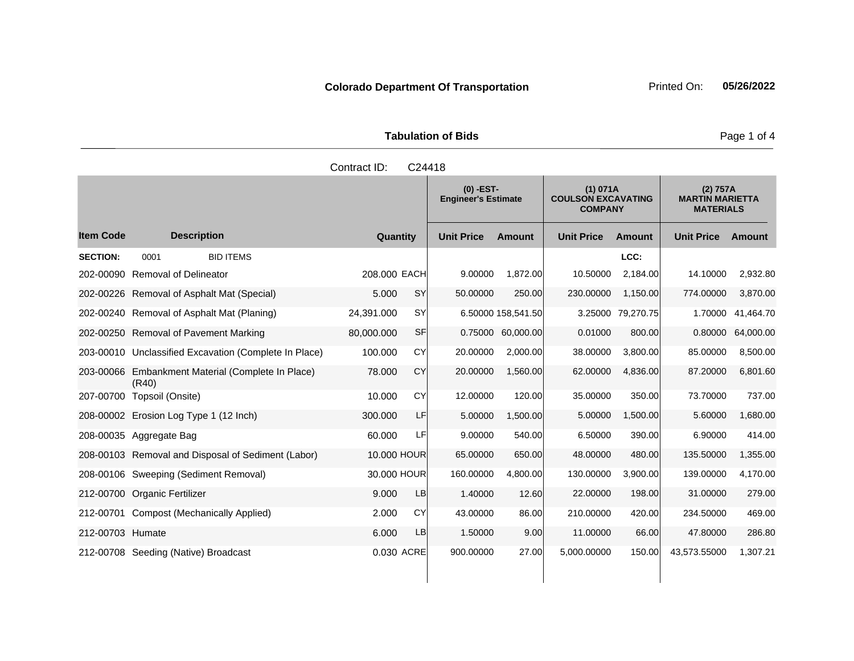| <b>Tabulation of Bids</b> |  |
|---------------------------|--|
|                           |  |

|                  |                                                            | Contract ID: | C24418     |                                                                                                      |                    |                   |                                                        |                   |           |
|------------------|------------------------------------------------------------|--------------|------------|------------------------------------------------------------------------------------------------------|--------------------|-------------------|--------------------------------------------------------|-------------------|-----------|
|                  |                                                            |              |            | $(0)$ -EST-<br>(1) 071A<br><b>COULSON EXCAVATING</b><br><b>Engineer's Estimate</b><br><b>COMPANY</b> |                    |                   | (2) 757A<br><b>MARTIN MARIETTA</b><br><b>MATERIALS</b> |                   |           |
| <b>Item Code</b> | <b>Description</b>                                         | Quantity     |            | <b>Unit Price</b>                                                                                    | <b>Amount</b>      | <b>Unit Price</b> | Amount                                                 | <b>Unit Price</b> | Amount    |
| <b>SECTION:</b>  | <b>BID ITEMS</b><br>0001                                   |              |            |                                                                                                      |                    |                   | LCC:                                                   |                   |           |
| 202-00090        | <b>Removal of Delineator</b>                               | 208,000 EACH |            | 9.00000                                                                                              | 1,872.00           | 10.50000          | 2,184.00                                               | 14.10000          | 2,932.80  |
|                  | 202-00226 Removal of Asphalt Mat (Special)                 | 5.000        | <b>SY</b>  | 50.00000                                                                                             | 250.00             | 230.00000         | 1,150.00                                               | 774.00000         | 3,870.00  |
|                  | 202-00240 Removal of Asphalt Mat (Planing)                 | 24,391.000   | SY         |                                                                                                      | 6.50000 158,541.50 |                   | 3.25000 79,270.75                                      | 1.70000           | 41,464.70 |
|                  | 202-00250 Removal of Pavement Marking                      | 80,000.000   | SF         | 0.75000                                                                                              | 60,000.00          | 0.01000           | 800.00                                                 | 0.80000           | 64,000.00 |
|                  | 203-00010 Unclassified Excavation (Complete In Place)      | 100.000      | CY         | 20.00000                                                                                             | 2,000.00           | 38.00000          | 3,800.00                                               | 85.00000          | 8,500.00  |
|                  | 203-00066 Embankment Material (Complete In Place)<br>(R40) | 78.000       | CY         | 20.00000                                                                                             | 1,560.00           | 62.00000          | 4,836.00                                               | 87.20000          | 6,801.60  |
|                  | 207-00700 Topsoil (Onsite)                                 | 10.000       | CY         | 12.00000                                                                                             | 120.00             | 35.00000          | 350.00                                                 | 73.70000          | 737.00    |
|                  | 208-00002 Erosion Log Type 1 (12 Inch)                     | 300.000      | <b>LF</b>  | 5.00000                                                                                              | 1,500.00           | 5.00000           | 1,500.00                                               | 5.60000           | 1,680.00  |
|                  | 208-00035 Aggregate Bag                                    | 60,000       | LF         | 9.00000                                                                                              | 540.00             | 6.50000           | 390.00                                                 | 6.90000           | 414.00    |
|                  | 208-00103 Removal and Disposal of Sediment (Labor)         | 10.000 HOUR  |            | 65.00000                                                                                             | 650.00             | 48.00000          | 480.00                                                 | 135.50000         | 1,355.00  |
|                  | 208-00106 Sweeping (Sediment Removal)                      | 30.000 HOUR  |            | 160.00000                                                                                            | 4,800.00           | 130.00000         | 3,900.00                                               | 139.00000         | 4,170.00  |
|                  | 212-00700 Organic Fertilizer                               | 9.000        | <b>LB</b>  | 1.40000                                                                                              | 12.60              | 22.00000          | 198.00                                                 | 31.00000          | 279.00    |
|                  | 212-00701 Compost (Mechanically Applied)                   | 2.000        | CY         | 43.00000                                                                                             | 86.00              | 210.00000         | 420.00                                                 | 234.50000         | 469.00    |
| 212-00703 Humate |                                                            | 6.000        | <b>LB</b>  | 1.50000                                                                                              | 9.00               | 11.00000          | 66.00                                                  | 47.80000          | 286.80    |
|                  | 212-00708 Seeding (Native) Broadcast                       |              | 0.030 ACRE | 900.00000                                                                                            | 27.00              | 5,000.00000       | 150.00                                                 | 43,573.55000      | 1,307.21  |

Page 1 of 4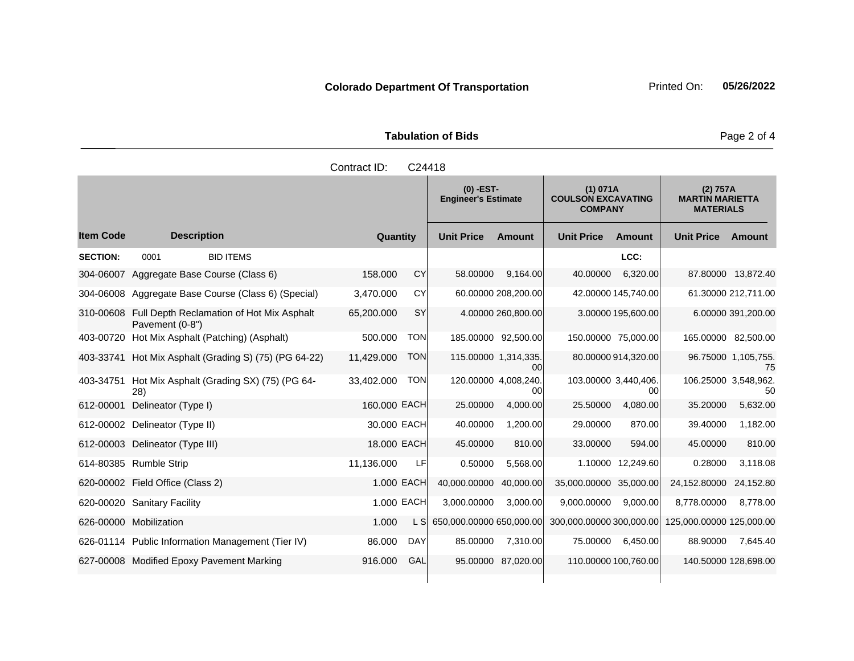|                     | <b>Tabulation of Bids</b> |
|---------------------|---------------------------|
| Contract ID: C24418 |                           |

|                  |                                                              |              |            | $(0)$ -EST-<br><b>Engineer's Estimate</b> |                     | (1) 071A<br><b>COULSON EXCAVATING</b><br><b>COMPANY</b> |                     | (2) 757A<br><b>MARTIN MARIETTA</b><br><b>MATERIALS</b> |                           |
|------------------|--------------------------------------------------------------|--------------|------------|-------------------------------------------|---------------------|---------------------------------------------------------|---------------------|--------------------------------------------------------|---------------------------|
| <b>Item Code</b> | <b>Description</b>                                           | Quantity     |            | <b>Unit Price</b>                         | Amount              | <b>Unit Price</b>                                       | <b>Amount</b>       | <b>Unit Price</b>                                      | Amount                    |
| <b>SECTION:</b>  | <b>BID ITEMS</b><br>0001                                     |              |            |                                           |                     |                                                         | LCC:                |                                                        |                           |
| 304-06007        | Aggregate Base Course (Class 6)                              | 158.000      | CY         | 58.00000                                  | 9,164.00            | 40.00000                                                | 6,320.00            |                                                        | 87.80000 13,872.40        |
| 304-06008        | Aggregate Base Course (Class 6) (Special)                    | 3,470.000    | CY         |                                           | 60.00000 208,200.00 |                                                         | 42.00000 145,740.00 |                                                        | 61.30000 212,711.00       |
| 310-00608        | Full Depth Reclamation of Hot Mix Asphalt<br>Pavement (0-8") | 65,200.000   | <b>SY</b>  |                                           | 4.00000 260,800.00  |                                                         | 3.00000 195,600.00  |                                                        | 6.00000 391,200.00        |
| 403-00720        | Hot Mix Asphalt (Patching) (Asphalt)                         | 500.000      | <b>TON</b> |                                           | 185.00000 92,500.00 | 150.00000 75,000.00                                     |                     | 165.00000 82,500.00                                    |                           |
| 403-33741        | Hot Mix Asphalt (Grading S) (75) (PG 64-22)                  | 11,429.000   | <b>TON</b> | 115.00000 1,314,335.                      | 00 <sup>1</sup>     |                                                         | 80.00000 914,320.00 |                                                        | 96.75000 1,105,755.<br>75 |
| 403-34751        | Hot Mix Asphalt (Grading SX) (75) (PG 64-<br>28)             | 33,402.000   | <b>TON</b> | 120.00000 4,008,240.                      | 00                  | 103.00000 3,440,406.                                    | 00                  | 106.25000 3,548,962.                                   | 50                        |
| 612-00001        | Delineator (Type I)                                          | 160.000 EACH |            | 25.00000                                  | 4,000.00            | 25.50000                                                | 4,080.00            | 35.20000                                               | 5,632.00                  |
| 612-00002        | Delineator (Type II)                                         | 30.000 EACH  |            | 40.00000                                  | 1.200.00            | 29.00000                                                | 870.00              | 39.40000                                               | 1,182.00                  |
| 612-00003        | Delineator (Type III)                                        | 18.000 EACH  |            | 45.00000                                  | 810.00              | 33.00000                                                | 594.00              | 45.00000                                               | 810.00                    |
|                  | 614-80385 Rumble Strip                                       | 11,136.000   | LFI        | 0.50000                                   | 5,568.00            | 1.10000                                                 | 12,249.60           | 0.28000                                                | 3.118.08                  |
|                  | 620-00002 Field Office (Class 2)                             | 1.000 EACH   |            | 40,000.00000                              | 40,000.00           | 35,000.00000 35,000.00                                  |                     | 24,152.80000                                           | 24,152.80                 |
|                  | 620-00020 Sanitary Facility                                  |              | 1.000 EACH | 3,000.00000                               | 3.000.00            | 9,000.00000                                             | 9,000.00            | 8,778.00000                                            | 8,778.00                  |
|                  | 626-00000 Mobilization                                       | 1.000        | L SI       | 650,000.00000 650,000.00                  |                     | 300,000.00000 300,000.00                                |                     | 125,000.00000 125,000.00                               |                           |
|                  | 626-01114 Public Information Management (Tier IV)            | 86.000       | <b>DAY</b> | 85.00000                                  | 7,310.00            | 75.00000                                                | 6,450.00            | 88.90000                                               | 7,645.40                  |
|                  | 627-00008 Modified Epoxy Pavement Marking                    | 916,000      | GAL        | 95.00000                                  | 87.020.00           | 110.00000 100,760.00                                    |                     | 140.50000 128,698.00                                   |                           |

Page 2 of 4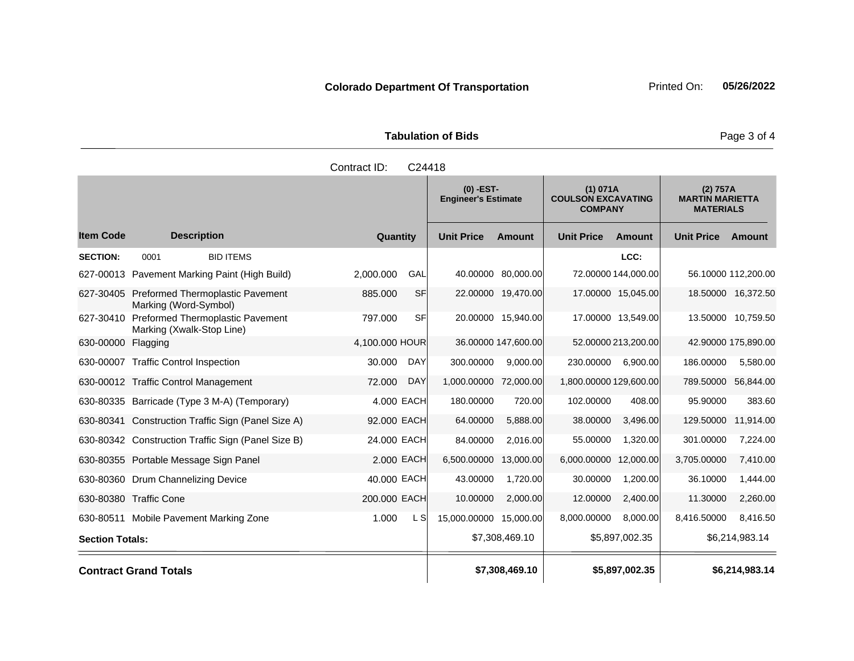| <b>Tabulation of Bids</b> |  |
|---------------------------|--|
|                           |  |

|                        |                                                                     | Contract ID:   | C24418     |                                                                                                      |                     |                        |                     |                                                        |                     |
|------------------------|---------------------------------------------------------------------|----------------|------------|------------------------------------------------------------------------------------------------------|---------------------|------------------------|---------------------|--------------------------------------------------------|---------------------|
|                        |                                                                     |                |            | $(0)$ -EST-<br>(1) 071A<br><b>Engineer's Estimate</b><br><b>COULSON EXCAVATING</b><br><b>COMPANY</b> |                     |                        |                     | (2) 757A<br><b>MARTIN MARIETTA</b><br><b>MATERIALS</b> |                     |
| <b>Item Code</b>       | <b>Description</b>                                                  | Quantity       |            | <b>Unit Price</b>                                                                                    | <b>Amount</b>       | <b>Unit Price</b>      | Amount              | <b>Unit Price</b>                                      | Amount              |
| <b>SECTION:</b>        | 0001<br><b>BID ITEMS</b>                                            |                |            |                                                                                                      |                     |                        | LCC:                |                                                        |                     |
|                        | 627-00013 Pavement Marking Paint (High Build)                       | 2,000.000      | GAL        |                                                                                                      | 40.00000 80,000.00  |                        | 72.00000 144,000.00 |                                                        | 56.10000 112,200.00 |
|                        | 627-30405 Preformed Thermoplastic Pavement<br>Marking (Word-Symbol) | 885.000        | <b>SF</b>  |                                                                                                      | 22.00000 19,470.00  |                        | 17.00000 15,045.00  |                                                        | 18.50000 16,372.50  |
| 627-30410              | Preformed Thermoplastic Pavement<br>Marking (Xwalk-Stop Line)       | 797.000        | <b>SF</b>  |                                                                                                      | 20.00000 15,940.00  |                        | 17.00000 13,549.00  |                                                        | 13.50000 10,759.50  |
| 630-00000              | Flagging                                                            | 4,100.000 HOUR |            |                                                                                                      | 36.00000 147,600.00 |                        | 52.00000 213,200.00 |                                                        | 42.90000 175,890.00 |
|                        | 630-00007 Traffic Control Inspection                                | 30.000         | <b>DAY</b> | 300.00000                                                                                            | 9,000.00            | 230.00000              | 6,900.00            | 186.00000                                              | 5,580.00            |
|                        | 630-00012 Traffic Control Management                                | 72.000         | <b>DAY</b> | 1,000.00000                                                                                          | 72,000.00           | 1,800.00000 129,600.00 |                     |                                                        | 789.50000 56,844.00 |
|                        | 630-80335 Barricade (Type 3 M-A) (Temporary)                        | 4.000 EACH     |            | 180.00000                                                                                            | 720.00              | 102.00000              | 408.00              | 95.90000                                               | 383.60              |
| 630-80341              | Construction Traffic Sign (Panel Size A)                            | 92.000 EACH    |            | 64.00000                                                                                             | 5,888.00            | 38.00000               | 3,496.00            | 129.50000                                              | 11,914.00           |
|                        | 630-80342 Construction Traffic Sign (Panel Size B)                  | 24.000 EACH    |            | 84.00000                                                                                             | 2.016.00            | 55.00000               | 1,320.00            | 301.00000                                              | 7,224.00            |
|                        | 630-80355 Portable Message Sign Panel                               | 2.000 EACH     |            | 6,500.00000                                                                                          | 13,000.00           | 6,000.00000            | 12,000.00           | 3,705.00000                                            | 7,410.00            |
|                        | 630-80360 Drum Channelizing Device                                  | 40.000 EACH    |            | 43.00000                                                                                             | 1,720.00            | 30.00000               | 1,200.00            | 36.10000                                               | 1,444.00            |
|                        | 630-80380 Traffic Cone                                              | 200.000 EACH   |            | 10.00000                                                                                             | 2,000.00            | 12.00000               | 2,400.00            | 11.30000                                               | 2,260.00            |
|                        | 630-80511 Mobile Pavement Marking Zone                              | 1.000          | L SI       | 15,000.00000                                                                                         | 15,000.00           | 8,000.00000            | 8,000.00            | 8,416.50000                                            | 8,416.50            |
| <b>Section Totals:</b> |                                                                     |                |            |                                                                                                      | \$7,308,469.10      |                        | \$5,897,002.35      |                                                        | \$6,214,983.14      |
|                        | <b>Contract Grand Totals</b>                                        |                |            |                                                                                                      | \$7,308,469.10      |                        | \$5,897,002.35      |                                                        | \$6,214,983.14      |

Page 3 of 4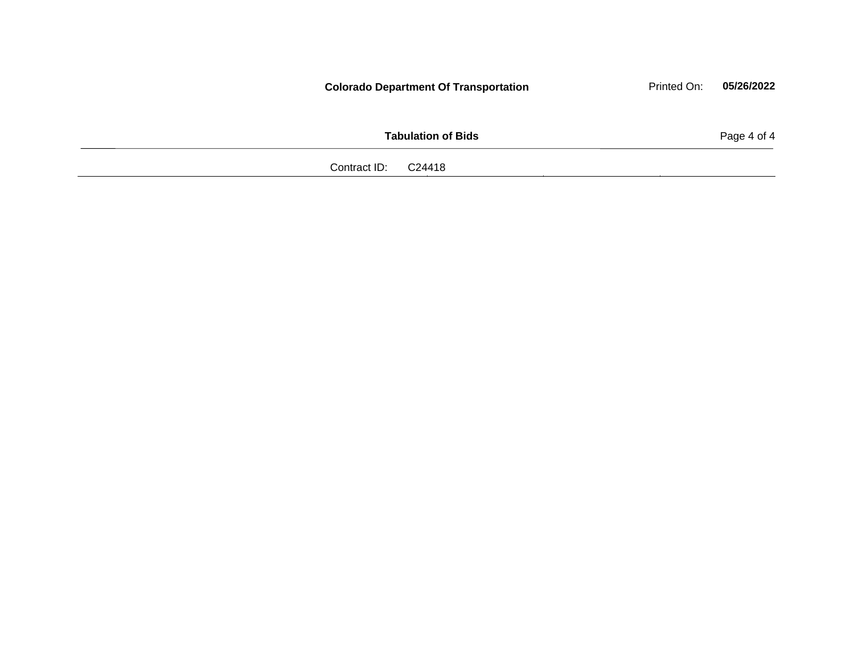|                     | <b>Colorado Department Of Transportation</b> | Printed On: | 05/26/2022  |
|---------------------|----------------------------------------------|-------------|-------------|
|                     | <b>Tabulation of Bids</b>                    |             | Page 4 of 4 |
| Contract ID: C24418 |                                              |             |             |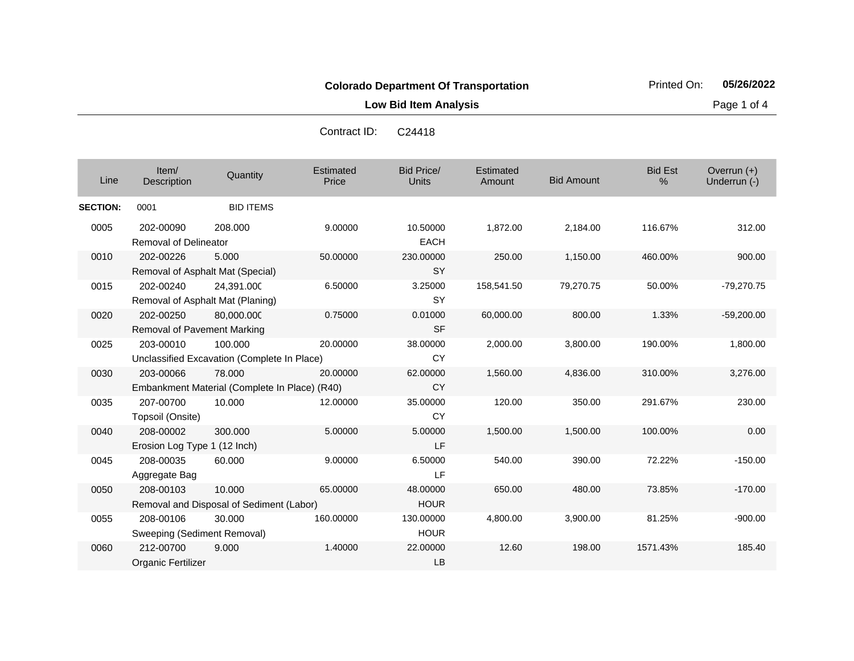**Low Bid Item Analysis Page 1 of 4** 

| Line            | Item/<br>Description                          | Quantity                                                | Estimated<br>Price | <b>Bid Price/</b><br><b>Units</b> | Estimated<br>Amount | <b>Bid Amount</b> | <b>Bid Est</b><br>% | Overrun $(+)$<br>Underrun (-) |
|-----------------|-----------------------------------------------|---------------------------------------------------------|--------------------|-----------------------------------|---------------------|-------------------|---------------------|-------------------------------|
| <b>SECTION:</b> | 0001                                          | <b>BID ITEMS</b>                                        |                    |                                   |                     |                   |                     |                               |
| 0005            | 202-00090<br><b>Removal of Delineator</b>     | 208.000                                                 | 9.00000            | 10.50000<br><b>EACH</b>           | 1,872.00            | 2,184.00          | 116.67%             | 312.00                        |
| 0010            | 202-00226<br>Removal of Asphalt Mat (Special) | 5.000                                                   | 50.00000           | 230.00000<br><b>SY</b>            | 250.00              | 1,150.00          | 460.00%             | 900.00                        |
| 0015            | 202-00240<br>Removal of Asphalt Mat (Planing) | 24,391.000                                              | 6.50000            | 3.25000<br>SY                     | 158,541.50          | 79,270.75         | 50.00%              | $-79,270.75$                  |
| 0020            | 202-00250<br>Removal of Pavement Marking      | 80,000.000                                              | 0.75000            | 0.01000<br><b>SF</b>              | 60,000.00           | 800.00            | 1.33%               | $-59,200.00$                  |
| 0025            | 203-00010                                     | 100.000<br>Unclassified Excavation (Complete In Place)  | 20.00000           | 38.00000<br><b>CY</b>             | 2,000.00            | 3,800.00          | 190.00%             | 1,800.00                      |
| 0030            | 203-00066                                     | 78.000<br>Embankment Material (Complete In Place) (R40) | 20.00000           | 62.00000<br><b>CY</b>             | 1,560.00            | 4,836.00          | 310.00%             | 3,276.00                      |
| 0035            | 207-00700<br>Topsoil (Onsite)                 | 10.000                                                  | 12,00000           | 35.00000<br><b>CY</b>             | 120.00              | 350.00            | 291.67%             | 230.00                        |
| 0040            | 208-00002<br>Erosion Log Type 1 (12 Inch)     | 300.000                                                 | 5.00000            | 5.00000<br>LF.                    | 1,500.00            | 1,500.00          | 100.00%             | 0.00                          |
| 0045            | 208-00035<br>Aggregate Bag                    | 60.000                                                  | 9.00000            | 6.50000<br>LF                     | 540.00              | 390.00            | 72.22%              | $-150.00$                     |
| 0050            | 208-00103                                     | 10.000<br>Removal and Disposal of Sediment (Labor)      | 65.00000           | 48.00000<br><b>HOUR</b>           | 650.00              | 480.00            | 73.85%              | $-170.00$                     |
| 0055            | 208-00106<br>Sweeping (Sediment Removal)      | 30.000                                                  | 160.00000          | 130.00000<br><b>HOUR</b>          | 4,800.00            | 3,900.00          | 81.25%              | $-900.00$                     |
| 0060            | 212-00700<br>Organic Fertilizer               | 9.000                                                   | 1.40000            | 22.00000<br><b>LB</b>             | 12.60               | 198.00            | 1571.43%            | 185.40                        |

Contract ID: C24418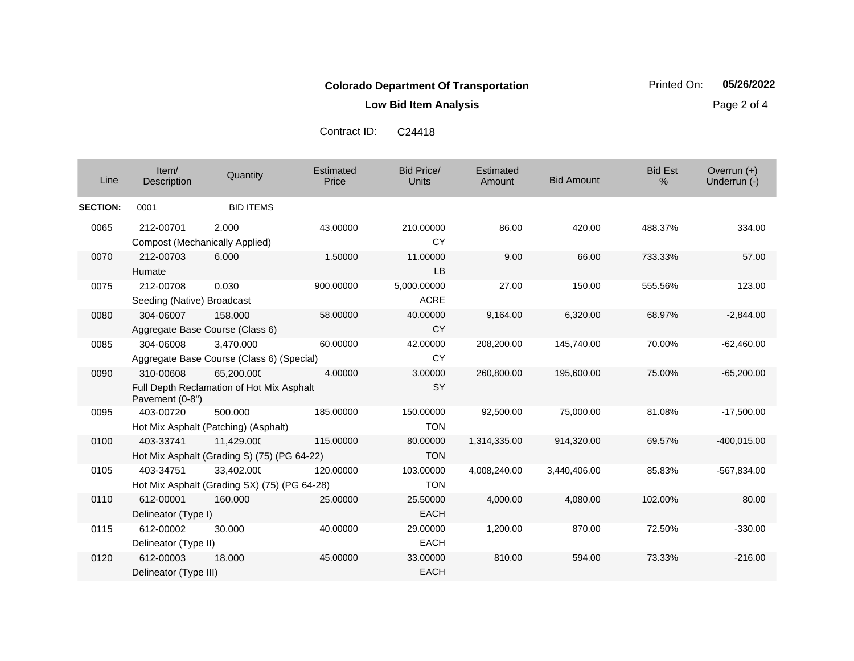**Low Bid Item Analysis Page 2 of 4** 

| Line            | Item/<br>Description                               | Quantity                                                   | Estimated<br>Price | <b>Bid Price/</b><br><b>Units</b> | <b>Estimated</b><br>Amount | <b>Bid Amount</b> | <b>Bid Est</b><br>% | Overrun (+)<br>Underrun (-) |
|-----------------|----------------------------------------------------|------------------------------------------------------------|--------------------|-----------------------------------|----------------------------|-------------------|---------------------|-----------------------------|
| <b>SECTION:</b> | 0001                                               | <b>BID ITEMS</b>                                           |                    |                                   |                            |                   |                     |                             |
| 0065            | 212-00701<br><b>Compost (Mechanically Applied)</b> | 2.000                                                      | 43.00000           | 210.00000<br><b>CY</b>            | 86.00                      | 420.00            | 488.37%             | 334.00                      |
| 0070            | 212-00703<br>Humate                                | 6.000                                                      | 1.50000            | 11.00000<br>LB                    | 9.00                       | 66.00             | 733.33%             | 57.00                       |
| 0075            | 212-00708<br>Seeding (Native) Broadcast            | 0.030                                                      | 900.00000          | 5,000.00000<br><b>ACRE</b>        | 27.00                      | 150.00            | 555.56%             | 123.00                      |
| 0080            | 304-06007                                          | 158,000<br>Aggregate Base Course (Class 6)                 | 58.00000           | 40.00000<br>CY                    | 9,164.00                   | 6,320.00          | 68.97%              | $-2,844.00$                 |
| 0085            | 304-06008                                          | 3.470.000<br>Aggregate Base Course (Class 6) (Special)     | 60.00000           | 42.00000<br><b>CY</b>             | 208,200.00                 | 145,740.00        | 70.00%              | $-62,460.00$                |
| 0090            | 310-00608<br>Pavement (0-8")                       | 65.200.000<br>Full Depth Reclamation of Hot Mix Asphalt    | 4.00000            | 3.00000<br>SY                     | 260,800.00                 | 195,600.00        | 75.00%              | $-65,200.00$                |
| 0095            | 403-00720                                          | 500.000<br>Hot Mix Asphalt (Patching) (Asphalt)            | 185.00000          | 150.00000<br><b>TON</b>           | 92,500.00                  | 75,000.00         | 81.08%              | $-17,500.00$                |
| 0100            | 403-33741                                          | 11,429.000<br>Hot Mix Asphalt (Grading S) (75) (PG 64-22)  | 115.00000          | 80.00000<br><b>TON</b>            | 1,314,335.00               | 914,320.00        | 69.57%              | $-400,015.00$               |
| 0105            | 403-34751                                          | 33,402.000<br>Hot Mix Asphalt (Grading SX) (75) (PG 64-28) | 120.00000          | 103.00000<br><b>TON</b>           | 4,008,240.00               | 3,440,406.00      | 85.83%              | -567,834.00                 |
| 0110            | 612-00001<br>Delineator (Type I)                   | 160.000                                                    | 25.00000           | 25.50000<br><b>EACH</b>           | 4,000.00                   | 4,080.00          | 102.00%             | 80.00                       |
| 0115            | 612-00002<br>Delineator (Type II)                  | 30.000                                                     | 40.00000           | 29.00000<br><b>EACH</b>           | 1,200.00                   | 870.00            | 72.50%              | $-330.00$                   |
| 0120            | 612-00003<br>Delineator (Type III)                 | 18.000                                                     | 45.00000           | 33.00000<br><b>EACH</b>           | 810.00                     | 594.00            | 73.33%              | $-216.00$                   |

Contract ID: C24418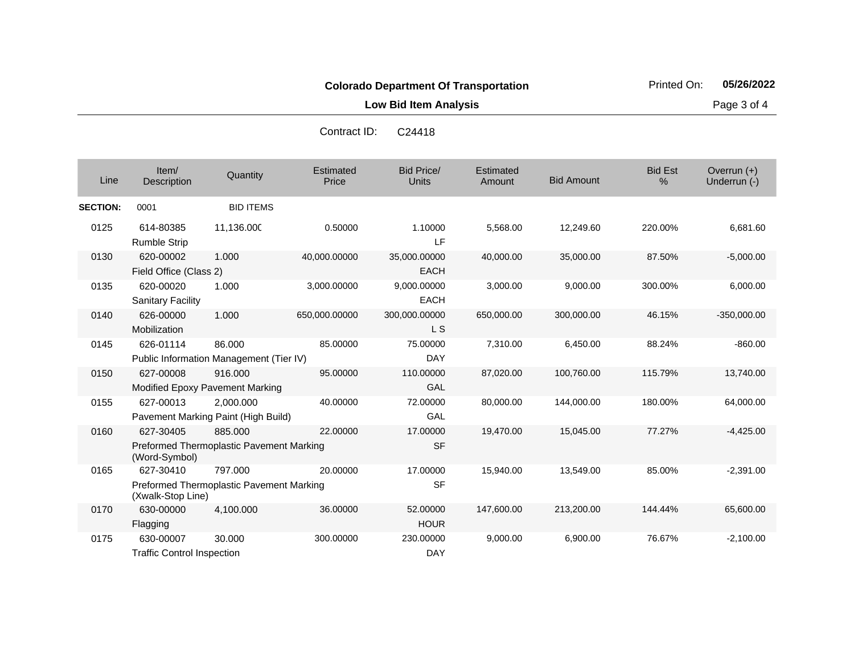**Low Bid Item Analysis Page 3 of 4** 

| Line            | Item/<br>Description                                                                              | Quantity                                          | Estimated<br>Price | <b>Bid Price/</b><br><b>Units</b> | Estimated<br>Amount | <b>Bid Amount</b> | <b>Bid Est</b><br>% | Overrun (+)<br>Underrun (-) |
|-----------------|---------------------------------------------------------------------------------------------------|---------------------------------------------------|--------------------|-----------------------------------|---------------------|-------------------|---------------------|-----------------------------|
| <b>SECTION:</b> | 0001                                                                                              | <b>BID ITEMS</b>                                  |                    |                                   |                     |                   |                     |                             |
| 0125            | 614-80385<br><b>Rumble Strip</b>                                                                  | 11,136.000                                        | 0.50000            | 1.10000<br>LF                     | 5,568.00            | 12,249.60         | 220.00%             | 6,681.60                    |
| 0130            | 620-00002<br>Field Office (Class 2)                                                               | 1.000                                             | 40,000.00000       | 35,000.00000<br><b>EACH</b>       | 40,000.00           | 35,000.00         | 87.50%              | $-5,000.00$                 |
| 0135            | 620-00020<br><b>Sanitary Facility</b>                                                             | 1.000                                             | 3,000.00000        | 9,000.00000<br><b>EACH</b>        | 3,000.00            | 9,000.00          | 300.00%             | 6,000.00                    |
| 0140            | 626-00000<br>Mobilization                                                                         | 1.000                                             | 650,000.00000      | 300,000.00000<br>L S              | 650,000.00          | 300,000.00        | 46.15%              | $-350,000.00$               |
| 0145            | 626-01114                                                                                         | 86.000<br>Public Information Management (Tier IV) | 85.00000           | 75.00000<br><b>DAY</b>            | 7,310.00            | 6,450.00          | 88.24%              | $-860.00$                   |
| 0150            | 627-00008                                                                                         | 916.000<br>Modified Epoxy Pavement Marking        | 95.00000           | 110.00000<br>GAL                  | 87,020.00           | 100,760.00        | 115.79%             | 13,740.00                   |
| 0155            | 627-00013                                                                                         | 2.000.000<br>Pavement Marking Paint (High Build)  | 40.00000           | 72,00000<br>GAL                   | 80,000.00           | 144,000.00        | 180.00%             | 64,000.00                   |
| 0160            | 885.000<br>22.00000<br>627-30405<br>Preformed Thermoplastic Pavement Marking<br>(Word-Symbol)     |                                                   |                    | 17.00000<br><b>SF</b>             | 19,470.00           | 15,045.00         | 77.27%              | $-4,425.00$                 |
| 0165            | 627-30410<br>797.000<br>20.00000<br>Preformed Thermoplastic Pavement Marking<br>(Xwalk-Stop Line) |                                                   |                    | 17.00000<br><b>SF</b>             | 15,940.00           | 13,549.00         | 85.00%              | $-2,391.00$                 |
| 0170            | 630-00000<br>Flagging                                                                             | 4,100.000                                         | 36.00000           | 52.00000<br><b>HOUR</b>           | 147,600.00          | 213,200.00        | 144.44%             | 65,600.00                   |
| 0175            | 630-00007<br><b>Traffic Control Inspection</b>                                                    | 30.000                                            | 300.00000          | 230.00000<br><b>DAY</b>           | 9,000.00            | 6,900.00          | 76.67%              | $-2,100.00$                 |

Contract ID: C24418